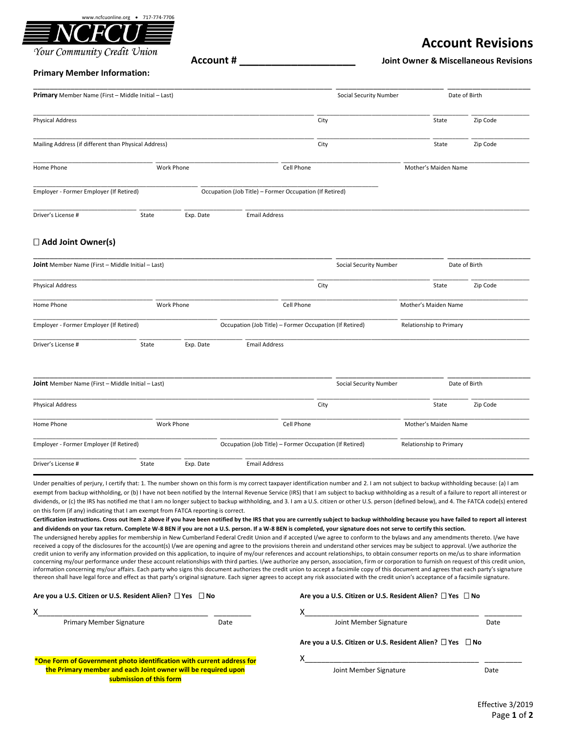

## Your Community Credit Union

# **Account Revisions**

**Account # \_\_\_\_\_\_\_\_\_\_\_\_\_\_\_\_\_\_ Joint Owner & Miscellaneous Revisions**

### **Primary Member Information:**

| Primary Member Name (First - Middle Initial - Last)  |            | Social Security Number                                  |                      | Date of Birth        |          |
|------------------------------------------------------|------------|---------------------------------------------------------|----------------------|----------------------|----------|
| <b>Physical Address</b>                              |            |                                                         | City                 | State                | Zip Code |
| Mailing Address (if different than Physical Address) |            |                                                         | City                 | State                | Zip Code |
| Home Phone                                           | Work Phone |                                                         | Cell Phone           | Mother's Maiden Name |          |
| Employer - Former Employer (If Retired)              |            | Occupation (Job Title) - Former Occupation (If Retired) |                      |                      |          |
| Driver's License #                                   | State      | Exp. Date                                               | <b>Email Address</b> |                      |          |

# **Add Joint Owner(s)**

| <b>Joint</b> Member Name (First - Middle Initial - Last) |            | Social Security Number                                  |                        | Date of Birth           |                      |               |
|----------------------------------------------------------|------------|---------------------------------------------------------|------------------------|-------------------------|----------------------|---------------|
| <b>Physical Address</b>                                  |            |                                                         | City                   |                         | State                | Zip Code      |
| Home Phone                                               | Work Phone |                                                         | Cell Phone             |                         | Mother's Maiden Name |               |
| Employer - Former Employer (If Retired)                  |            | Occupation (Job Title) - Former Occupation (If Retired) |                        | Relationship to Primary |                      |               |
| Driver's License #                                       | State      | Exp. Date                                               | <b>Email Address</b>   |                         |                      |               |
|                                                          |            |                                                         |                        |                         |                      |               |
| <b>Joint</b> Member Name (First - Middle Initial - Last) |            |                                                         | Social Security Number |                         |                      | Date of Birth |

| <b>Physical Address</b>                 |       |            | City                                                    | Zip Code<br>State       |  |
|-----------------------------------------|-------|------------|---------------------------------------------------------|-------------------------|--|
| Home Phone                              |       | Work Phone | Cell Phone                                              | Mother's Maiden Name    |  |
| Employer - Former Employer (If Retired) |       |            | Occupation (Job Title) - Former Occupation (If Retired) | Relationship to Primary |  |
| Driver's License #                      | State | Exp. Date  | <b>Email Address</b>                                    |                         |  |

Under penalties of perjury, I certify that: 1. The number shown on this form is my correct taxpayer identification number and 2. I am not subject to backup withholding because: (a) I am exempt from backup withholding, or (b) I have not been notified by the Internal Revenue Service (IRS) that I am subject to backup withholding as a result of a failure to report all interest or dividends, or (c) the IRS has notified me that I am no longer subject to backup withholding, and 3. I am a U.S. citizen or other U.S. person (defined below), and 4. The FATCA code(s) entered on this form (if any) indicating that I am exempt from FATCA reporting is correct.

**Certification instructions. Cross out item 2 above if you have been notified by the IRS that you are currently subject to backup withholding because you have failed to report all interest and dividends on your tax return. Complete W-8 BEN if you are not a U.S. person. If a W-8 BEN is completed, your signature does not serve to certify this section.**

The undersigned hereby applies for membership in New Cumberland Federal Credit Union and if accepted I/we agree to conform to the bylaws and any amendments thereto. I/we have received a copy of the disclosures for the account(s) I/we are opening and agree to the provisions therein and understand other services may be subject to approval. I/we authorize the credit union to verify any information provided on this application, to inquire of my/our references and account relationships, to obtain consumer reports on me/us to share information concerning my/our performance under these account relationships with third parties. I/we authorize any person, association, firm or corporation to furnish on request of this credit union, information concerning my/our affairs. Each party who signs this document authorizes the credit union to accept a facsimile copy of this document and agrees that each party's signature thereon shall have legal force and effect as that party's original signature. Each signer agrees to accept any risk associated with the credit union's acceptance of a facsimile signature.

#### **Are you a U.S. Citizen or U.S. Resident Alien? Yes No Are you a U.S. Citizen or U.S. Resident Alien? Yes No**

| Primary Member Signature                                                                 | Date | Joint Member Signature                                              | Date |
|------------------------------------------------------------------------------------------|------|---------------------------------------------------------------------|------|
|                                                                                          |      | Are you a U.S. Citizen or U.S. Resident Alien? $\Box$ Yes $\Box$ No |      |
| *One Form of Government photo identification with current address for                    |      |                                                                     |      |
| the Primary member and each Joint owner will be required upon<br>submission of this form |      | Joint Member Signature                                              | Date |